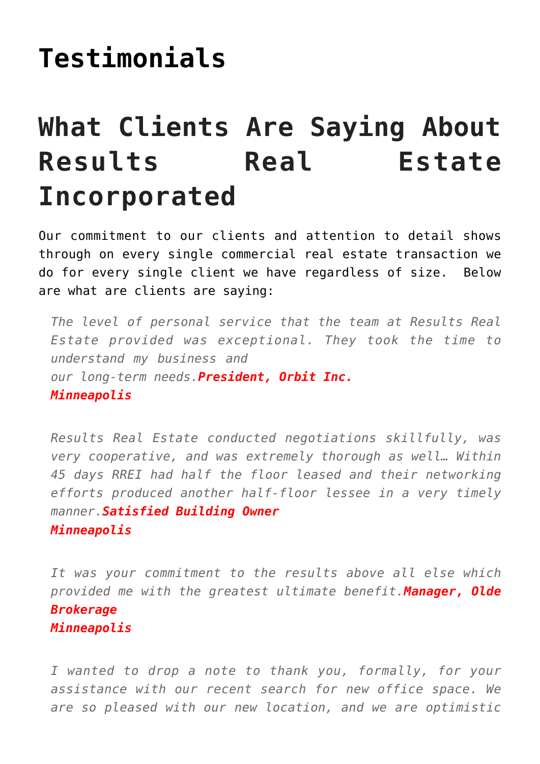## **[Testimonials](https://resultsrealestateinc.com/testimonials/)**

## **What Clients Are Saying About Results Real Estate Incorporated**

Our commitment to our clients and attention to detail shows through on every single commercial real estate transaction we do for every single client we have regardless of size. Below are what are clients are saying:

*The level of personal service that the team at Results Real Estate provided was exceptional. They took the time to understand my business and our long-term needs.President, Orbit Inc. Minneapolis*

*Results Real Estate conducted negotiations skillfully, was very cooperative, and was extremely thorough as well… Within 45 days RREI had half the floor leased and their networking efforts produced another half-floor lessee in a very timely manner.Satisfied Building Owner Minneapolis*

*It was your commitment to the results above all else which provided me with the greatest ultimate benefit.Manager, Olde Brokerage Minneapolis*

*I wanted to drop a note to thank you, formally, for your assistance with our recent search for new office space. We are so pleased with our new location, and we are optimistic*